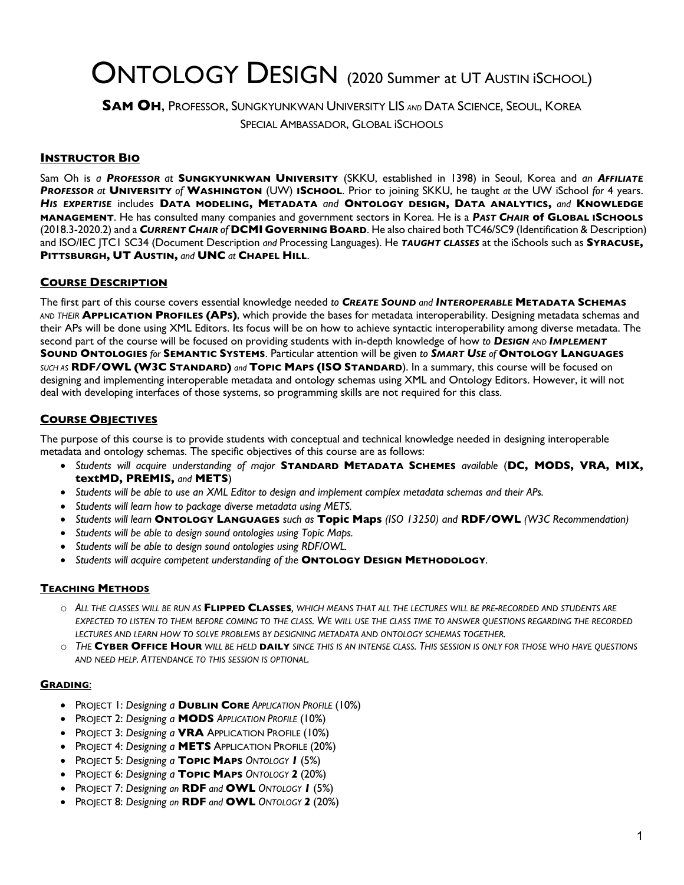# ONTOLOGY DESIGN (2020 Summer at UT AUSTIN ISCHOOL)

**SAM OH**, PROFESSOR, SUNGKYUNKWAN UNIVERSITY LIS *AND* DATA SCIENCE, SEOUL, KOREA SPECIAL AMBASSADOR, GLOBAL iSCHOOLS

#### **INSTRUCTOR BIO**

Sam Oh is *a PROFESSOR at* **SUNGKYUNKWAN UNIVERSITY** (SKKU, established in 1398) in Seoul, Korea and *an AFFILIATE PROFESSOR at* **UNIVERSITY** *of* **WASHINGTON** (UW) **ISCHOOL**. Prior to joining SKKU, he taught *at* the UW iSchool *for* 4 years. *HIS EXPERTISE* includes **DATA MODELING, METADATA** *and* **ONTOLOGY DESIGN, DATA ANALYTICS,** *and* **KNOWLEDGE MANAGEMENT**. He has consulted many companies and government sectors in Korea. He is a *PAST CHAIR* **of GLOBAL ISCHOOLS** (2018.3-2020.2) and a *CURRENT CHAIR of* **DCMI GOVERNING BOARD**. He also chaired both TC46/SC9 (Identification & Description) and ISO/IEC JTC1 SC34 (Document Description *and* Processing Languages). He *TAUGHT CLASSES* at the iSchools such as **SYRACUSE, PITTSBURGH, UT AUSTIN,** *and* **UNC** *at* **CHAPEL HILL**.

#### **COURSE DESCRIPTION**

The first part of this course covers essential knowledge needed *to CREATE SOUND and INTEROPERABLE* **METADATA SCHEMAS** *AND THEIR* **APPLICATION PROFILES (APS)**, which provide the bases for metadata interoperability. Designing metadata schemas and their APs will be done using XML Editors. Its focus will be on how to achieve syntactic interoperability among diverse metadata. The second part of the course will be focused on providing students with in-depth knowledge of how *to DESIGN AND IMPLEMENT* **SOUND ONTOLOGIES** *for* **SEMANTIC SYSTEMS**. Particular attention will be given *to SMART USE of* **ONTOLOGY LANGUAGES** *SUCH AS* **RDF/OWL (W3C STANDARD)** *and* **TOPIC MAPS (ISO STANDARD**). In a summary, this course will be focused on designing and implementing interoperable metadata and ontology schemas using XML and Ontology Editors. However, it will not deal with developing interfaces of those systems, so programming skills are not required for this class.

#### **COURSE OBJECTIVES**

The purpose of this course is to provide students with conceptual and technical knowledge needed in designing interoperable metadata and ontology schemas. The specific objectives of this course are as follows:

- *Students will acquire understanding of major* **STANDARD METADATA SCHEMES** *available* (**DC, MODS, VRA, MIX, textMD, PREMIS,** *and* **METS**)
- *Students will be able to use an XML Editor to design and implement complex metadata schemas and their APs.*
- *Students will learn how to package diverse metadata using METS.*
- *Students will learn* **ONTOLOGY LANGUAGES** *such as* **Topic Maps** *(ISO 13250) and* **RDF/OWL** *(W3C Recommendation)*
- *Students will be able to design sound ontologies using Topic Maps.*
- *Students will be able to design sound ontologies using RDF/OWL.*
- *Students will acquire competent understanding of the* **ONTOLOGY DESIGN METHODOLOGY***.*

#### **TEACHING METHODS**

- o *ALL THE CLASSES WILL BE RUN AS* **FLIPPED CLASSES***, WHICH MEANS THAT ALL THE LECTURES WILL BE PRE-RECORDED AND STUDENTS ARE EXPECTED TO LISTEN TO THEM BEFORE COMING TO THE CLASS. WE WILL USE THE CLASS TIME TO ANSWER QUESTIONS REGARDING THE RECORDED LECTURES AND LEARN HOW TO SOLVE PROBLEMS BY DESIGNING METADATA AND ONTOLOGY SCHEMAS TOGETHER.*
- o *THE* **CYBER OFFICE HOUR** *WILL BE HELD* **DAILY** *SINCE THIS IS AN INTENSE CLASS. THIS SESSION IS ONLY FOR THOSE WHO HAVE QUESTIONS AND NEED HELP. ATTENDANCE TO THIS SESSION IS OPTIONAL.*

#### **GRADING**:

- PROJECT 1: *Designing a* **DUBLIN CORE** *APPLICATION PROFILE* (10%)
- PROJECT 2: *Designing a* **MODS** *APPLICATION PROFILE* (10%)
- PROJECT 3: *Designing a* **VRA** APPLICATION PROFILE (10%)
- PROJECT 4: *Designing a* **METS** APPLICATION PROFILE (20%)
- PROJECT 5: *Designing a* **TOPIC MAPS** *ONTOLOGY 1* (5%)
- PROJECT 6: *Designing a* **TOPIC MAPS** *ONTOLOGY 2* (20%)
- PROJECT 7: *Designing an* **RDF** *and* **OWL** *ONTOLOGY 1* (5%)
- PROJECT 8: *Designing an* **RDF** *and* **OWL** *ONTOLOGY 2* (20%)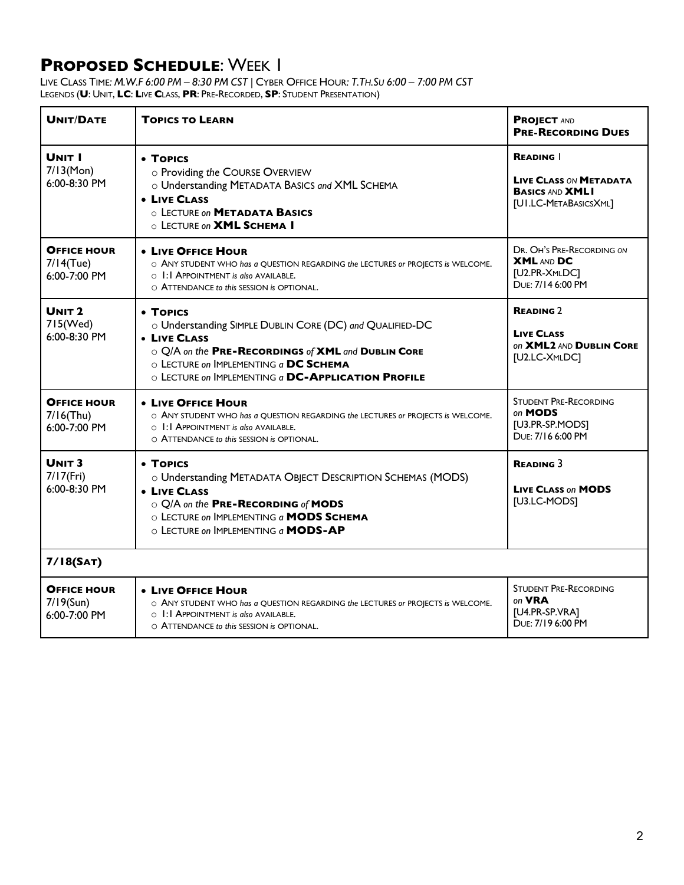| <b>UNIT/DATE</b>                                   | <b>TOPICS TO LEARN</b>                                                                                                                                                                                                                    | <b>PROJECT AND</b><br><b>PRE-RECORDING DUES</b>                                                    |
|----------------------------------------------------|-------------------------------------------------------------------------------------------------------------------------------------------------------------------------------------------------------------------------------------------|----------------------------------------------------------------------------------------------------|
| <b>UNIT I</b><br>$7/13$ (Mon)<br>6:00-8:30 PM      | • TOPICS<br>o Providing the COURSE OVERVIEW<br>o Understanding METADATA BASICS and XML SCHEMA<br><b>• LIVE CLASS</b><br>O LECTURE ON <b>METADATA BASICS</b><br>O LECTURE ON <b>XML SCHEMA I</b>                                           | <b>READING</b><br><b>LIVE CLASS ON METADATA</b><br><b>BASICS AND XMLI</b><br>[UI.LC-METABASICSXML] |
| <b>OFFICE HOUR</b><br>$7/14$ (Tue)<br>6:00-7:00 PM | • LIVE OFFICE HOUR<br>O ANY STUDENT WHO has a QUESTION REGARDING the LECTURES or PROJECTS is WELCOME.<br>$\circ$ $\blacksquare$ : APPOINTMENT is also AVAILABLE.<br>O ATTENDANCE to this SESSION is OPTIONAL.                             | DR. OH'S PRE-RECORDING ON<br><b>XML AND DC</b><br>[U2.PR-XMLDC]<br>DUE: 7/14 6:00 PM               |
| UNIT <sub>2</sub><br>715(Wed)<br>6:00-8:30 PM      | • TOPICS<br>O Understanding SIMPLE DUBLIN CORE (DC) and QUALIFIED-DC<br>• LIVE CLASS<br>O Q/A on the PRE-RECORDINGS of XML and DUBLIN CORE<br>O LECTURE ON IMPLEMENTING a DC SCHEMA<br>O LECTURE ON IMPLEMENTING a DC-APPLICATION PROFILE | <b>READING 2</b><br><b>LIVE CLASS</b><br>ON XML2 AND DUBLIN CORE<br>[U2.LC-XMLDC]                  |
| <b>OFFICE HOUR</b><br>$7/16$ (Thu)<br>6:00-7:00 PM | • LIVE OFFICE HOUR<br>O ANY STUDENT WHO has a QUESTION REGARDING the LECTURES or PROJECTS is WELCOME.<br>$\circ$ $\blacksquare$ : APPOINTMENT is also AVAILABLE.<br>$\circ$ ATTENDANCE to this SESSION is OPTIONAL.                       | <b>STUDENT PRE-RECORDING</b><br>on MODS<br>[U3.PR-SP.MODS]<br>DUE: 7/16 6:00 PM                    |
| UNIT <sub>3</sub><br>$7/17$ (Fri)<br>6:00-8:30 PM  | • TOPICS<br>O Understanding METADATA OBJECT DESCRIPTION SCHEMAS (MODS)<br>• LIVE CLASS<br>O Q/A on the PRE-RECORDING of MODS<br>O LECTURE ON IMPLEMENTING a MODS SCHEMA<br>$\circ$ LECTURE on IMPLEMENTING a <b>MODS-AP</b>               | <b>READING 3</b><br><b>LIVE CLASS ON MODS</b><br>[U3.LC-MODS]                                      |
| 7/18(SAT)                                          |                                                                                                                                                                                                                                           |                                                                                                    |
| <b>OFFICE HOUR</b><br>$7/19$ (Sun)<br>6:00-7:00 PM | • LIVE OFFICE HOUR<br>$\circ$ ANY STUDENT WHO has a QUESTION REGARDING the LECTURES or PROJECTS is WELCOME.<br>$\circ$ $\blacksquare$ : APPOINTMENT is also AVAILABLE.<br>O ATTENDANCE to this SESSION is OPTIONAL.                       | <b>STUDENT PRE-RECORDING</b><br>on <b>VRA</b><br>[U4.PR-SP.VRA]<br>DUF: 7/19 6:00 PM               |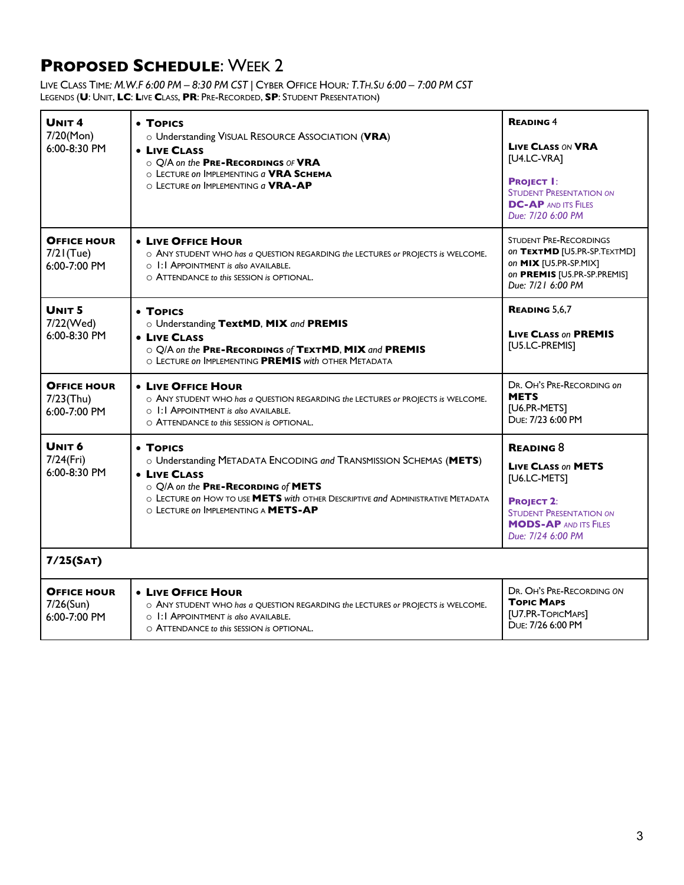| UNIT <sub>4</sub><br>7/20(Mon)<br>6:00-8:30 PM        | • TOPICS<br>o Understanding VISUAL RESOURCE ASSOCIATION (VRA)<br>• LIVE CLASS<br>O Q/A on the PRE-RECORDINGS OF VRA<br>O LECTURE ON IMPLEMENTING a VRA SCHEMA<br>$\circ$ LECTURE ON IMPLEMENTING $a$ VRA-AP                                                         | <b>READING 4</b><br><b>LIVE CLASS ON VRA</b><br>[U4.LC-VRA]<br><b>PROJECT I:</b><br><b>STUDENT PRESENTATION ON</b><br><b>DC-AP AND ITS FILES</b><br>Due: 7/20 6:00 PM     |
|-------------------------------------------------------|---------------------------------------------------------------------------------------------------------------------------------------------------------------------------------------------------------------------------------------------------------------------|---------------------------------------------------------------------------------------------------------------------------------------------------------------------------|
| <b>OFFICE HOUR</b><br>$7/2$ I(Tue)<br>6:00-7:00 PM    | <b>• LIVE OFFICE HOUR</b><br>O ANY STUDENT WHO has a QUESTION REGARDING the LECTURES or PROJECTS is WELCOME.<br>O 1:1 APPOINTMENT is also AVAILABLE.<br>O ATTENDANCE to this SESSION is OPTIONAL.                                                                   | <b>STUDENT PRE-RECORDINGS</b><br>on TEXTMD [U5.PR-SP.TEXTMD]<br>on MIX [U5.PR-SP.MIX]<br>on PREMIS [U5.PR-SP.PREMIS]<br>Due: 7/21 6:00 PM                                 |
| UNIT <sub>5</sub><br>7/22(Wed)<br>6:00-8:30 PM        | • TOPICS<br>o Understanding TextMD, MIX and PREMIS<br>• LIVE CLASS<br>O Q/A on the PRE-RECORDINGS of TEXTMD, MIX and PREMIS<br>O LECTURE ON IMPLEMENTING PREMIS with OTHER METADATA                                                                                 | <b>READING 5,6,7</b><br><b>LIVE CLASS on PREMIS</b><br>[U5.LC-PREMIS]                                                                                                     |
| <b>OFFICE HOUR</b><br>$7/23$ (Thu)<br>6:00-7:00 PM    | <b>• LIVE OFFICE HOUR</b><br>O ANY STUDENT WHO has a QUESTION REGARDING the LECTURES or PROJECTS is WELCOME.<br>$\circ$ 1:1 APPOINTMENT is also AVAILABLE.<br>O ATTENDANCE to this SESSION is OPTIONAL.                                                             | DR. OH'S PRE-RECORDING ON<br><b>METS</b><br>[U6.PR-METS]<br>DUF: 7/23 6:00 PM                                                                                             |
| UNIT <sub>6</sub><br>$7/24$ (Fri)<br>$6:00 - 8:30$ PM | • TOPICS<br>O Understanding METADATA ENCODING and TRANSMISSION SCHEMAS (METS)<br>• LIVE CLASS<br>O Q/A on the PRE-RECORDING of METS<br>$\circ$ LECTURE on HOW TO USE METS with OTHER DESCRIPTIVE and ADMINISTRATIVE METADATA<br>O LECTURE ON IMPLEMENTING A METS-AP | <b>READING 8</b><br><b>LIVE CLASS ON METS</b><br>[U6.LC-METS]<br><b>PROJECT 2:</b><br><b>STUDENT PRESENTATION ON</b><br><b>MODS-AP AND ITS FILES</b><br>Due: 7/24 6:00 PM |
| 7/25(SAT)                                             |                                                                                                                                                                                                                                                                     |                                                                                                                                                                           |
| <b>OFFICE HOUR</b><br>$7/26$ (Sun)<br>6:00-7:00 PM    | • LIVE OFFICE HOUR<br>O ANY STUDENT WHO has a QUESTION REGARDING the LECTURES or PROJECTS is WELCOME.<br>$\circ$ $\blacksquare$ : APPOINTMENT is also AVAILABLE.<br>O ATTENDANCE to this SESSION is OPTIONAL.                                                       | DR. OH'S PRE-RECORDING ON<br><b>TOPIC MAPS</b><br>[U7.PR-TOPICMAPS]<br>DUE: 7/26 6:00 PM                                                                                  |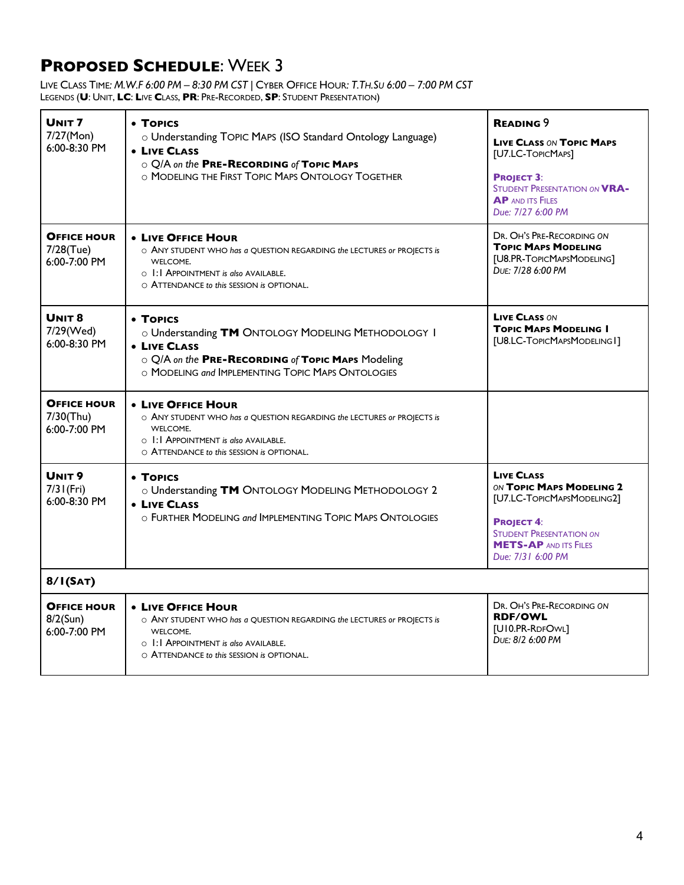| UNIT <sub>7</sub><br>7/27(Mon)<br>$6:00 - 8:30$ PM     | • TOPICS<br>o Understanding TOPIC MAPS (ISO Standard Ontology Language)<br>• LIVE CLASS<br>O Q/A on the PRE-RECORDING of TOPIC MAPS<br>O MODELING THE FIRST TOPIC MAPS ONTOLOGY TOGETHER               | <b>READING 9</b><br><b>LIVE CLASS ON TOPIC MAPS</b><br>[U7.LC-TOPICMAPS]<br><b>PROJECT 3:</b><br><b>STUDENT PRESENTATION ON VRA-</b><br><b>AP AND ITS FILES</b><br>Due: 7/27 6:00 PM    |
|--------------------------------------------------------|--------------------------------------------------------------------------------------------------------------------------------------------------------------------------------------------------------|-----------------------------------------------------------------------------------------------------------------------------------------------------------------------------------------|
| <b>OFFICE HOUR</b><br>7/28(Tue)<br>6:00-7:00 PM        | • LIVE OFFICE HOUR<br>$\circ$ ANY STUDENT WHO has a QUESTION REGARDING the LECTURES or PROJECTS is<br>WELCOME.<br>O 1:1 APPOINTMENT is also AVAILABLE.<br>O ATTENDANCE to this SESSION is OPTIONAL.    | DR. OH'S PRE-RECORDING ON<br><b>TOPIC MAPS MODELING</b><br>[U8.PR-TOPICMAPSMODELING]<br>DUE: 7/28 6:00 PM                                                                               |
| UNIT <sub>8</sub><br>7/29(Wed)<br>6:00-8:30 PM         | • TOPICS<br>o Understanding TM ONTOLOGY MODELING METHODOLOGY I<br><b>• LIVE CLASS</b><br>O Q/A on the PRE-RECORDING of Topic Maps Modeling<br>$\circ$ MODELING and IMPI EMENTING TOPIC MAPS ONTOLOGIES | <b>LIVE CLASS ON</b><br><b>TOPIC MAPS MODELING I</b><br>[U8.LC-TOPICMAPSMODELING1]                                                                                                      |
| <b>OFFICE HOUR</b><br>7/30(Thu)<br>6:00-7:00 PM        | <b>• LIVE OFFICE HOUR</b><br>O ANY STUDENT WHO has a QUESTION REGARDING the LECTURES or PROJECTS is<br>WELCOME.<br>O 1:1 APPOINTMENT is also AVAILABLE.<br>O ATTENDANCE to this SESSION is OPTIONAL.   |                                                                                                                                                                                         |
| UNIT <sub>9</sub><br>$7/3$ I (Fri)<br>$6:00 - 8:30$ PM | • TOPICS<br>o Understanding TM ONTOLOGY MODELING METHODOLOGY 2<br><b>• LIVE CLASS</b><br>O FURTHER MODELING and IMPLEMENTING TOPIC MAPS ONTOLOGIES                                                     | <b>LIVE CLASS</b><br>ON TOPIC MAPS MODELING 2<br>[U7.LC-TOPICMAPSMODELING2]<br><b>PROJECT 4:</b><br><b>STUDENT PRESENTATION ON</b><br><b>METS-AP AND ITS FILES</b><br>Due: 7/31 6:00 PM |
| 8/1(SAT)                                               |                                                                                                                                                                                                        |                                                                                                                                                                                         |
| <b>OFFICE HOUR</b><br>$8/2$ (Sun)<br>$6:00 - 7:00$ PM  | • LIVE OFFICE HOUR<br>O ANY STUDENT WHO has a QUESTION REGARDING the LECTURES or PROJECTS is<br>WELCOME.<br>O I: I APPOINTMENT is also AVAILABLE.<br>O ATTENDANCE to this SESSION is OPTIONAL.         | DR. OH'S PRE-RECORDING ON<br><b>RDF/OWL</b><br>[U10.PR-RDFOWL]<br>DUE: 8/2 6:00 PM                                                                                                      |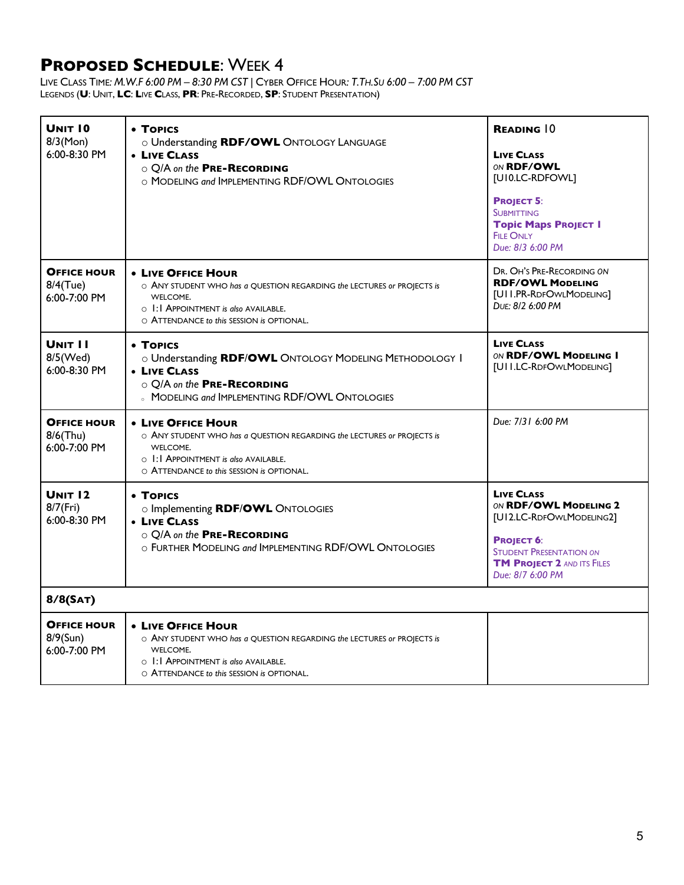| <b>UNIT 10</b><br>$8/3$ (Mon)<br>6:00-8:30 PM         | • TOPICS<br>O Understanding RDF/OWL ONTOLOGY LANGUAGE<br>• LIVE CLASS<br>O Q/A on the PRE-RECORDING<br>O MODELING and IMPLEMENTING RDF/OWL ONTOLOGIES                                                                   | <b>READING 10</b><br><b>LIVE CLASS</b><br>ON RDF/OWL<br>[UI0.LC-RDFOWL]<br><b>PROJECT 5:</b><br><b>SUBMITTING</b><br><b>Topic Maps PROJECT I</b><br><b>FILE ONLY</b><br>Due: 8/3 6:00 PM |  |
|-------------------------------------------------------|-------------------------------------------------------------------------------------------------------------------------------------------------------------------------------------------------------------------------|------------------------------------------------------------------------------------------------------------------------------------------------------------------------------------------|--|
| <b>OFFICE HOUR</b><br>$8/4$ (Tue)<br>$6:00 - 7:00$ PM | <b>. LIVE OFFICE HOUR</b><br>$\circ$ ANY STUDENT WHO has a QUESTION REGARDING the LECTURES or PROJECTS is<br>WELCOME.<br>$\circ$ 1:1 APPOINTMENT is also AVAILABLE.<br>O ATTENDANCE to this SESSION is OPTIONAL.        | DR. OH'S PRE-RECORDING ON<br><b>RDF/OWL MODELING</b><br>[UII.PR-RDFOWLMODELING]<br>DUE: 8/2 6:00 PM                                                                                      |  |
| <b>UNIT I I</b><br>8/5(Wed)<br>6:00-8:30 PM           | • TOPICS<br>o Understanding RDF/OWL ONTOLOGY MODELING METHODOLOGY I<br>• LIVE CLASS<br>O Q/A on the PRE-RECORDING<br><b>MODELING and IMPLEMENTING RDF/OWL ONTOLOGIES</b>                                                | <b>LIVE CLASS</b><br>ON RDF/OWL MODELING I<br>[UII.LC-RDFOWLMODELING]                                                                                                                    |  |
| <b>OFFICE HOUR</b><br>$8/6$ (Thu)<br>6:00-7:00 PM     | • LIVE OFFICE HOUR<br>O ANY STUDENT WHO has a QUESTION REGARDING the LECTURES or PROJECTS is<br>WELCOME.<br>$\circ$ 1:1 APPOINTMENT is also AVAILABLE.<br>O ATTENDANCE to this SESSION is OPTIONAL.                     | Due: 7/31 6:00 PM                                                                                                                                                                        |  |
| <b>UNIT 12</b><br>$8/7$ (Fri)<br>$6:00 - 8:30$ PM     | • TOPICS<br>o Implementing RDF/OWL ONTOLOGIES<br>• LIVE CLASS<br>O Q/A on the PRE-RECORDING<br>O FURTHER MODELING and IMPLEMENTING RDF/OWL ONTOLOGIES                                                                   | <b>LIVE CLASS</b><br>ON RDF/OWL MODELING 2<br>[UI2.LC-RDFOWLMODELING2]<br><b>PROJECT 6:</b><br><b>STUDENT PRESENTATION ON</b><br><b>TM PROJECT 2 AND ITS FILES</b><br>Due: 8/7 6:00 PM   |  |
| 8/8(SAT)                                              |                                                                                                                                                                                                                         |                                                                                                                                                                                          |  |
| <b>OFFICE HOUR</b><br>$8/9$ (Sun)<br>6:00-7:00 PM     | <b>• LIVE OFFICE HOUR</b><br>O ANY STUDENT WHO has a QUESTION REGARDING the LECTURES or PROJECTS is<br>WELCOME.<br>$\circ$ $\blacksquare$ : APPOINTMENT is also AVAILABLE.<br>O ATTENDANCE to this SESSION is OPTIONAL. |                                                                                                                                                                                          |  |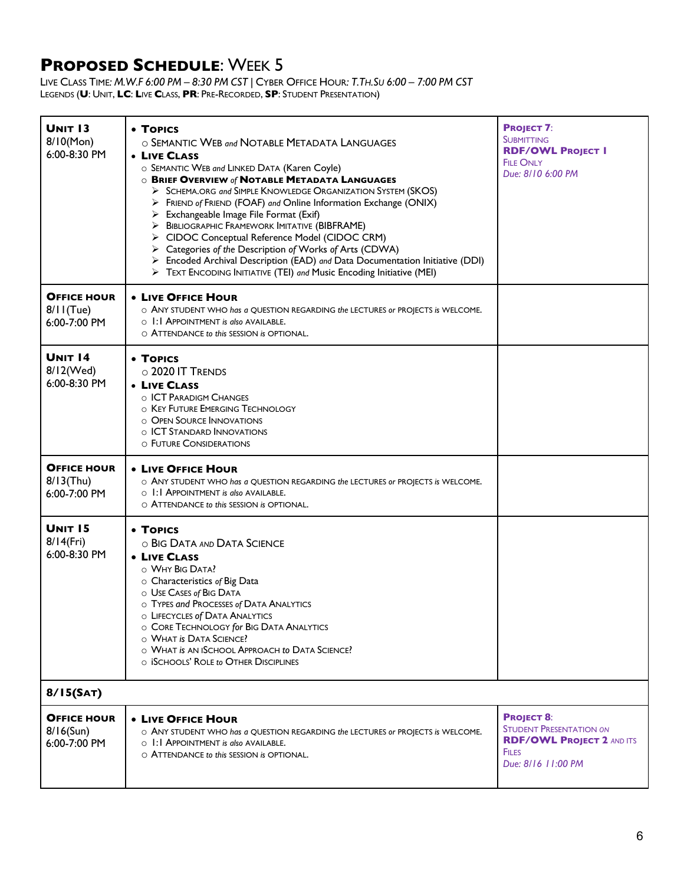| <b>UNIT 13</b><br>$8/10$ (Mon)<br>$6:00 - 8:30$ PM | • TOPICS<br>O SEMANTIC WEB and NOTABLE METADATA LANGUAGES<br>• LIVE CLASS<br>O SEMANTIC WEB and LINKED DATA (Karen Coyle)<br><b>O BRIEF OVERVIEW of NOTABLE METADATA LANGUAGES</b><br>> SCHEMA.ORG and SIMPLE KNOWLEDGE ORGANIZATION SYSTEM (SKOS)<br>FRIEND of FRIEND (FOAF) and Online Information Exchange (ONIX)<br>➤<br>$\triangleright$ Exchangeable Image File Format (Exif)<br>> BIBLIOGRAPHIC FRAMEWORK IMITATIVE (BIBFRAME)<br>> CIDOC Conceptual Reference Model (CIDOC CRM)<br>> Categories of the Description of Works of Arts (CDWA)<br>> Encoded Archival Description (EAD) and Data Documentation Initiative (DDI)<br>> TEXT ENCODING INITIATIVE (TEI) and Music Encoding Initiative (MEI) | <b>PROJECT 7:</b><br><b>SUBMITTING</b><br><b>RDF/OWL PROJECT I</b><br><b>FILE ONLY</b><br>Due: 8/10 6:00 PM                   |
|----------------------------------------------------|------------------------------------------------------------------------------------------------------------------------------------------------------------------------------------------------------------------------------------------------------------------------------------------------------------------------------------------------------------------------------------------------------------------------------------------------------------------------------------------------------------------------------------------------------------------------------------------------------------------------------------------------------------------------------------------------------------|-------------------------------------------------------------------------------------------------------------------------------|
| <b>OFFICE HOUR</b><br>$8/11$ (Tue)<br>6:00-7:00 PM | <b>• LIVE OFFICE HOUR</b><br>$\circ$ ANY STUDENT WHO has a QUESTION REGARDING the LECTURES or PROJECTS is WELCOME.<br>$\circ$ 1:1 APPOINTMENT is also AVAILABLE.<br>O ATTENDANCE to this SESSION is OPTIONAL.                                                                                                                                                                                                                                                                                                                                                                                                                                                                                              |                                                                                                                               |
| <b>UNIT 14</b><br>8/12(Wed)<br>6:00-8:30 PM        | • TOPICS<br>$\circ$ 2020 IT TRENDS<br>• LIVE CLASS<br>O <b>ICT PARADIGM CHANGES</b><br>O KEY FUTURE EMERGING TECHNOLOGY<br>O OPEN SOURCE INNOVATIONS<br>O <b>ICT STANDARD INNOVATIONS</b><br>O FUTURE CONSIDERATIONS                                                                                                                                                                                                                                                                                                                                                                                                                                                                                       |                                                                                                                               |
| <b>OFFICE HOUR</b><br>$8/13$ (Thu)<br>6:00-7:00 PM | • LIVE OFFICE HOUR<br>O ANY STUDENT WHO has a QUESTION REGARDING the LECTURES or PROJECTS is WELCOME.<br>$\circ$ 1:1 APPOINTMENT is also AVAILABLE.<br>$\circ$ ATTENDANCE to this SESSION is OPTIONAL.                                                                                                                                                                                                                                                                                                                                                                                                                                                                                                     |                                                                                                                               |
| <b>UNIT 15</b><br>$8/14$ (Fri)<br>$6:00 - 8:30$ PM | • TOPICS<br>O BIG DATA AND DATA SCIENCE<br>• LIVE CLASS<br>O WHY BIG DATA?<br>$\circ$ Characteristics of Big Data<br>O USE CASES of BIG DATA<br>O TYPES and PROCESSES of DATA ANALYTICS<br>O LIFECYCLES of DATA ANALYTICS<br>O CORE TECHNOLOGY for BIG DATA ANALYTICS<br>O WHAT IS DATA SCIENCE?<br>O WHAT IS AN ISCHOOL APPROACH to DATA SCIENCE?<br>O ISCHOOLS' ROLE to OTHER DISCIPLINES                                                                                                                                                                                                                                                                                                                |                                                                                                                               |
| 8/15(SAT)                                          |                                                                                                                                                                                                                                                                                                                                                                                                                                                                                                                                                                                                                                                                                                            |                                                                                                                               |
| <b>OFFICE HOUR</b><br>$8/16$ (Sun)<br>6:00-7:00 PM | <b>. LIVE OFFICE HOUR</b><br>O ANY STUDENT WHO has a QUESTION REGARDING the LECTURES or PROJECTS is WELCOME.<br>$\circ$ 1:1 APPOINTMENT is also AVAILABLE.<br>$\circ$ ATTENDANCE to this SESSION is OPTIONAL.                                                                                                                                                                                                                                                                                                                                                                                                                                                                                              | <b>PROJECT 8:</b><br><b>STUDENT PRESENTATION ON</b><br><b>RDF/OWL PROJECT 2 AND ITS</b><br><b>FILES</b><br>Due: 8/16 11:00 PM |